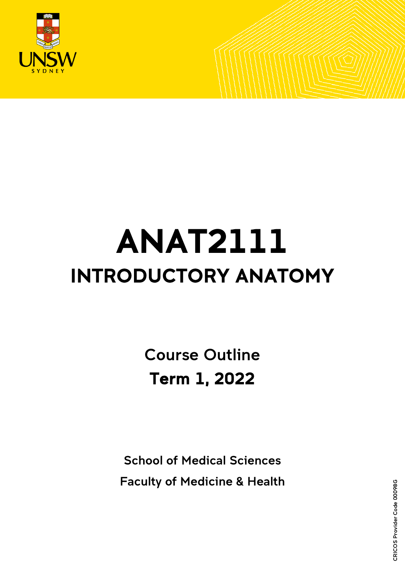

# ANAT2111 INTRODUCTORY ANATOMY

Course Outline Term 1, 2022

School of Medical Sciences Faculty of Medicine & Health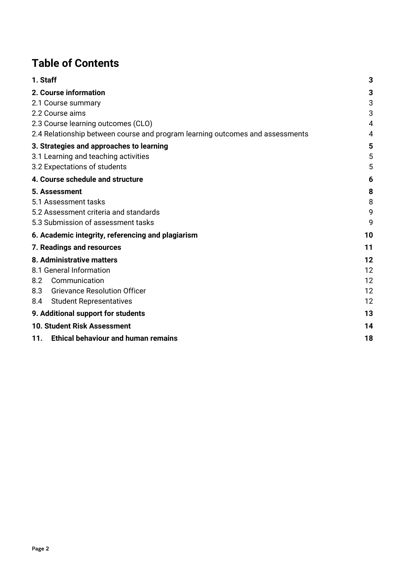# **Table of Contents**

| 1. Staff                                                                      | 3              |
|-------------------------------------------------------------------------------|----------------|
| 2. Course information                                                         | 3              |
| 2.1 Course summary                                                            | 3              |
| 2.2 Course aims                                                               | 3              |
| 2.3 Course learning outcomes (CLO)                                            | $\overline{4}$ |
| 2.4 Relationship between course and program learning outcomes and assessments | 4              |
| 3. Strategies and approaches to learning                                      | 5              |
| 3.1 Learning and teaching activities                                          | 5              |
| 3.2 Expectations of students                                                  | 5              |
| 4. Course schedule and structure                                              | 6              |
| 5. Assessment                                                                 | 8              |
| 5.1 Assessment tasks                                                          | 8              |
| 5.2 Assessment criteria and standards                                         | 9              |
| 5.3 Submission of assessment tasks                                            | 9              |
| 6. Academic integrity, referencing and plagiarism                             | 10             |
| 7. Readings and resources                                                     | 11             |
| 8. Administrative matters                                                     | 12             |
| 8.1 General Information                                                       | 12             |
| 8.2<br>Communication                                                          | 12             |
| 8.3<br><b>Grievance Resolution Officer</b>                                    | 12             |
| 8.4<br><b>Student Representatives</b>                                         | 12             |
| 9. Additional support for students                                            | 13             |
| <b>10. Student Risk Assessment</b>                                            | 14             |
| 11. Ethical behaviour and human remains                                       | 18             |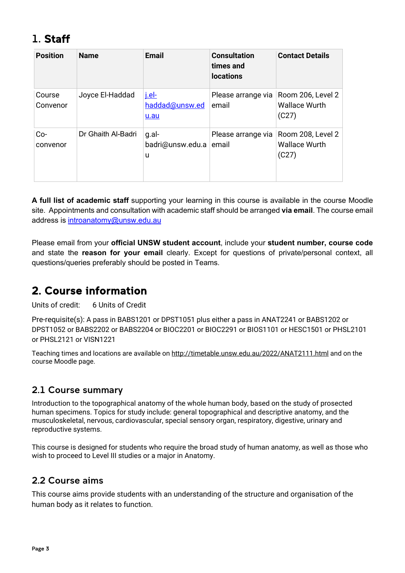# <span id="page-2-0"></span>1. Staff

| <b>Position</b>    | <b>Name</b>        | <b>Email</b>                           | <b>Consultation</b><br>times and<br><b>locations</b> | <b>Contact Details</b>                             |
|--------------------|--------------------|----------------------------------------|------------------------------------------------------|----------------------------------------------------|
| Course<br>Convenor | Joyce El-Haddad    | <u>j.el-</u><br>haddad@unsw.ed<br>u.au | Please arrange via<br>email                          | Room 206, Level 2<br><b>Wallace Wurth</b><br>(C27) |
| Co-<br>convenor    | Dr Ghaith Al-Badri | g.al-<br>badri@unsw.edu.a<br>u         | Please arrange via<br>email                          | Room 208, Level 2<br><b>Wallace Wurth</b><br>(C27) |

**A full list of academic staff** supporting your learning in this course is available in the course Moodle site.Appointments and consultation with academic staff should be arranged **via email**. The course email address is [introanatomy@unsw.edu.au](mailto:introanatomy@unsw.edu.au)

Please email from your **official UNSW student account**, include your **student number, course code**  and state the **reason for your email** clearly. Except for questions of private/personal context, all questions/queries preferably should be posted in Teams*.*

# <span id="page-2-1"></span>2. Course information

Units of credit: 6 Units of Credit

Pre-requisite(s): A pass in BABS1201 or DPST1051 plus either a pass in ANAT2241 or BABS1202 or DPST1052 or BABS2202 or BABS2204 or BIOC2201 or BIOC2291 or BIOS1101 or HESC1501 or PHSL2101 or PHSL2121 or VISN1221

Teaching times and locations are available on<http://timetable.unsw.edu.au/2022/ANAT2111.html> and on the course Moodle page.

## <span id="page-2-2"></span>2.1 Course summary

Introduction to the topographical anatomy of the whole human body, based on the study of prosected human specimens. Topics for study include: general topographical and descriptive anatomy, and the musculoskeletal, nervous, cardiovascular, special sensory organ, respiratory, digestive, urinary and reproductive systems.

This course is designed for students who require the broad study of human anatomy, as well as those who wish to proceed to Level III studies or a major in Anatomy.

## <span id="page-2-3"></span>2.2 Course aims

This course aims provide students with an understanding of the structure and organisation of the human body as it relates to function.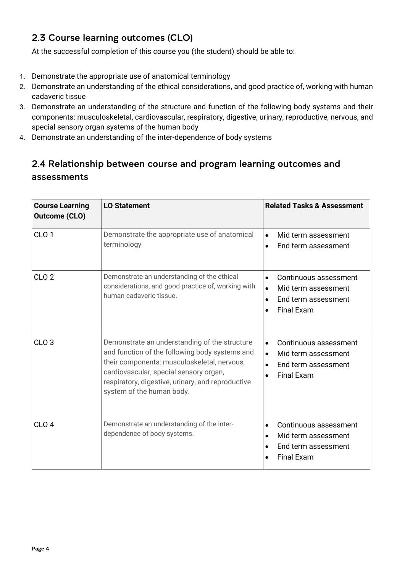# <span id="page-3-0"></span>2.3 Course learning outcomes (CLO)

At the successful completion of this course you (the student) should be able to:

- 1. Demonstrate the appropriate use of anatomical terminology
- 2. Demonstrate an understanding of the ethical considerations, and good practice of, working with human cadaveric tissue
- 3. Demonstrate an understanding of the structure and function of the following body systems and their components: musculoskeletal, cardiovascular, respiratory, digestive, urinary, reproductive, nervous, and special sensory organ systems of the human body
- 4. Demonstrate an understanding of the inter-dependence of body systems

# <span id="page-3-1"></span>2.4 Relationship between course and program learning outcomes and assessments

| <b>Course Learning</b><br><b>Outcome (CLO)</b> | <b>LO Statement</b>                                                                                                                                                                                                                                                        | <b>Related Tasks &amp; Assessment</b>                                                                                                        |
|------------------------------------------------|----------------------------------------------------------------------------------------------------------------------------------------------------------------------------------------------------------------------------------------------------------------------------|----------------------------------------------------------------------------------------------------------------------------------------------|
| CLO <sub>1</sub>                               | Demonstrate the appropriate use of anatomical<br>terminology                                                                                                                                                                                                               | Mid term assessment<br>$\bullet$<br>End term assessment<br>$\bullet$                                                                         |
| CLO <sub>2</sub>                               | Demonstrate an understanding of the ethical<br>considerations, and good practice of, working with<br>human cadaveric tissue.                                                                                                                                               | Continuous assessment<br>$\bullet$<br>Mid term assessment<br>$\bullet$<br>End term assessment<br>$\bullet$<br><b>Final Exam</b><br>$\bullet$ |
| CLO <sub>3</sub>                               | Demonstrate an understanding of the structure<br>and function of the following body systems and<br>their components: musculoskeletal, nervous,<br>cardiovascular, special sensory organ,<br>respiratory, digestive, urinary, and reproductive<br>system of the human body. | Continuous assessment<br>$\bullet$<br>Mid term assessment<br>$\bullet$<br>$\bullet$<br>End term assessment<br><b>Final Exam</b><br>$\bullet$ |
| CLO <sub>4</sub>                               | Demonstrate an understanding of the inter-<br>dependence of body systems.                                                                                                                                                                                                  | Continuous assessment<br>$\bullet$<br>Mid term assessment<br>$\bullet$<br>End term assessment<br>$\bullet$<br><b>Final Exam</b>              |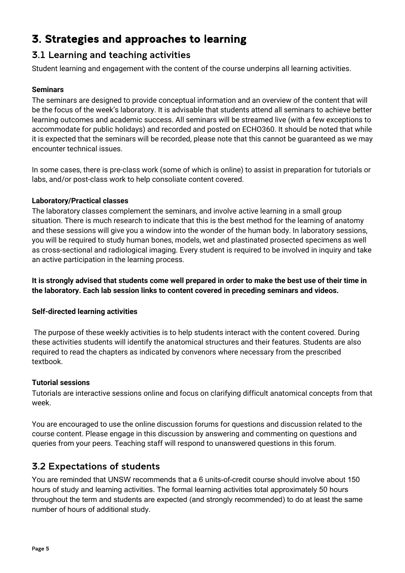# <span id="page-4-0"></span>3. Strategies and approaches to learning

## <span id="page-4-1"></span>3.1 Learning and teaching activities

Student learning and engagement with the content of the course underpins all learning activities.

## **Seminars**

The seminars are designed to provide conceptual information and an overview of the content that will be the focus of the week's laboratory. It is advisable that students attend all seminars to achieve better learning outcomes and academic success. All seminars will be streamed live (with a few exceptions to accommodate for public holidays) and recorded and posted on ECHO360. It should be noted that while it is expected that the seminars will be recorded, please note that this cannot be guaranteed as we may encounter technical issues.

In some cases, there is pre-class work (some of which is online) to assist in preparation for tutorials or labs, and/or post-class work to help consoliate content covered.

#### **Laboratory/Practical classes**

The laboratory classes complement the seminars, and involve active learning in a small group situation. There is much research to indicate that this is the best method for the learning of anatomy and these sessions will give you a window into the wonder of the human body. In laboratory sessions, you will be required to study human bones, models, wet and plastinated prosected specimens as well as cross-sectional and radiological imaging. Every student is required to be involved in inquiry and take an active participation in the learning process.

**It is strongly advised that students come well prepared in order to make the best use of their time in the laboratory. Each lab session links to content covered in preceding seminars and videos.** 

#### **Self-directed learning activities**

The purpose of these weekly activities is to help students interact with the content covered. During these activities students will identify the anatomical structures and their features. Students are also required to read the chapters as indicated by convenors where necessary from the prescribed textbook.

#### **Tutorial sessions**

Tutorials are interactive sessions online and focus on clarifying difficult anatomical concepts from that week.

You are encouraged to use the online discussion forums for questions and discussion related to the course content. Please engage in this discussion by answering and commenting on questions and queries from your peers. Teaching staff will respond to unanswered questions in this forum.

## <span id="page-4-2"></span>3.2 Expectations of students

You are reminded that UNSW recommends that a 6 units-of-credit course should involve about 150 hours of study and learning activities. The formal learning activities total approximately 50 hours throughout the term and students are expected (and strongly recommended) to do at least the same number of hours of additional study.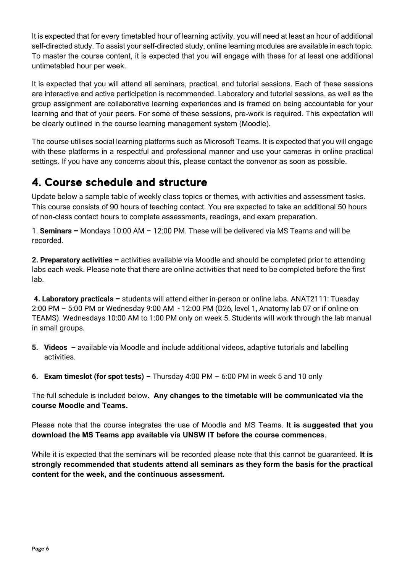It is expected that for every timetabled hour of learning activity, you will need at least an hour of additional self-directed study. To assist your self-directed study, online learning modules are available in each topic. To master the course content, it is expected that you will engage with these for at least one additional untimetabled hour per week.

It is expected that you will attend all seminars, practical, and tutorial sessions. Each of these sessions are interactive and active participation is recommended. Laboratory and tutorial sessions, as well as the group assignment are collaborative learning experiences and is framed on being accountable for your learning and that of your peers. For some of these sessions, pre-work is required. This expectation will be clearly outlined in the course learning management system (Moodle).

The course utilises social learning platforms such as Microsoft Teams. It is expected that you will engage with these platforms in a respectful and professional manner and use your cameras in online practical settings. If you have any concerns about this, please contact the convenor as soon as possible.

# <span id="page-5-0"></span>4. Course schedule and structure

Update below a sample table of weekly class topics or themes, with activities and assessment tasks. This course consists of 90 hours of teaching contact. You are expected to take an additional 50 hours of non-class contact hours to complete assessments, readings, and exam preparation.

1. **Seminars –** Mondays 10:00 AM – 12:00 PM. These will be delivered via MS Teams and will be recorded.

**2. Preparatory activities –** activities available via Moodle and should be completed prior to attending labs each week. Please note that there are online activities that need to be completed before the first lab.

**4. Laboratory practicals –** students will attend either in-person or online labs. ANAT2111: Tuesday 2:00 PM – 5:00 PM or Wednesday 9:00 AM - 12:00 PM (D26, level 1, Anatomy lab 07 or if online on TEAMS). Wednesdays 10:00 AM to 1:00 PM only on week 5. Students will work through the lab manual in small groups.

- **5. Videos –** available via Moodle and include additional videos, adaptive tutorials and labelling activities.
- **6. Exam timeslot (for spot tests) –** Thursday 4:00 PM 6:00 PM in week 5 and 10 only

The full schedule is included below. **Any changes to the timetable will be communicated via the course Moodle and Teams.** 

Please note that the course integrates the use of Moodle and MS Teams. **It is suggested that you download the MS Teams app available via UNSW IT before the course commences**.

While it is expected that the seminars will be recorded please note that this cannot be guaranteed. **It is strongly recommended that students attend all seminars as they form the basis for the practical content for the week, and the continuous assessment.**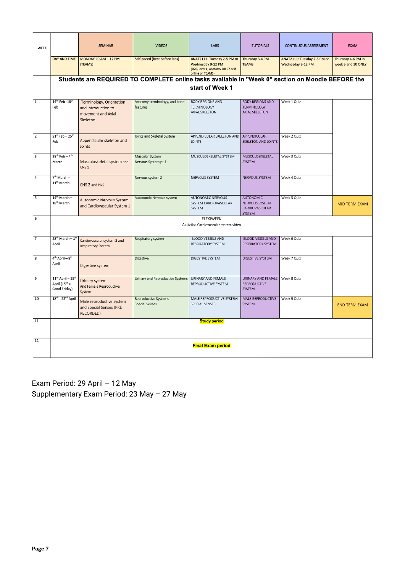| <b>WEEK</b>             |                                                          | <b>SEMINAR</b><br><b>VIDEOS</b>                                                   |                                                                                                   | <b>LABS</b><br><b>TUTORIALS</b>                                                                                                                |                                                                        | <b>CONTINUOUS ASSESSMENT</b>                     | <b>EXAM</b>                              |  |
|-------------------------|----------------------------------------------------------|-----------------------------------------------------------------------------------|---------------------------------------------------------------------------------------------------|------------------------------------------------------------------------------------------------------------------------------------------------|------------------------------------------------------------------------|--------------------------------------------------|------------------------------------------|--|
|                         | DAY AND TIME                                             | MONDAY 10 AM - 12 PM<br>(TEAMS)                                                   | Self-paced (best before labs)                                                                     | ANAT2111: Tuesday 2-5 PM or<br>Thursday 3-4 PM<br>Wednesday 9-12 PM<br><b>TEAMS</b><br>(D26, level 1, Anatomy lab 07 or if<br>online on TEAMS) |                                                                        | ANAT2111: Tuesday 2-5 PM or<br>Wednesday 9-12 PM | Thursday 4-6 PM in<br>week 5 and 10 ONLY |  |
|                         |                                                          |                                                                                   | Students are REQUIRED TO COMPLETE online tasks available in "Week 0" section on Moodle BEFORE the | start of Week 1                                                                                                                                |                                                                        |                                                  |                                          |  |
| $\overline{1}$          | 14th Feb - 18th<br>Feb                                   | Terminology, Orientation<br>and introduction to<br>movement and Axial<br>Skeleton | Anatomy terminology, and bone<br>features                                                         | <b>BODY REGIONS AND</b><br><b>TERMINOLOGY</b><br><b>AXIAL SKELETON</b>                                                                         | <b>BODY REGIONS AND</b><br><b>TERMINOLOGY</b><br><b>AXIAL SKELETON</b> | Week 1 Quiz                                      |                                          |  |
| $\overline{2}$          | $21^{st}$ Feb - $25^{th}$<br>Feb                         | Appendicular skeleton and<br>Joints                                               | Joints and Skeletal System                                                                        | APPENDICULAR SKELETON AND<br><b>JOINTS</b>                                                                                                     | APPENDICULAR<br><b>SKELETON AND JOINTS</b>                             | Week 2 Quiz                                      |                                          |  |
| $\overline{\mathbf{3}}$ | $28^{th}$ Feb - $4^{th}$<br>March                        | Musculoskeletal system and<br>CNS <sub>1</sub>                                    | Muscular System<br>Nervous System pt 1                                                            | MUSCULOSKELETAL SYSTEM                                                                                                                         | <b>MUSCULOSKELETAL</b><br><b>SYSTEM</b>                                | Week 3 Quiz                                      |                                          |  |
| 4                       | $7th March -$<br>11 <sup>th</sup> March                  | CNS 2 and PNS                                                                     | Nervous system 2                                                                                  | NERVOUS SYSTEM                                                                                                                                 | <b>NERVOUS SYSTEM</b>                                                  | Week 4 Quiz                                      |                                          |  |
| 5                       | 14th March -<br>18 <sup>th</sup> March                   | Autonomic Nervous System<br>and Cardiovascular System 1                           | Autonomic Nervous system                                                                          | <b>AUTONOMIC NERVOUS</b><br>SYSTEM CARDIOVASCULAR<br>SYSTEM                                                                                    | <b>AUTONOMIC</b><br>NERVOUS SYSTEM<br>CARDIOVASCULAR<br><b>SYSTEM</b>  | Week 5 Quiz                                      | <b>MID-TERM EXAM</b>                     |  |
| 6                       |                                                          |                                                                                   |                                                                                                   | <b>FLEXIWEEK</b><br>Activity: Cardiovascular system video                                                                                      |                                                                        |                                                  |                                          |  |
| $\overline{7}$          | $28^{th}$ March - $1^{st}$<br>April                      | Cardiovascular system 2 and<br>Respiratory System                                 | Respiratory system                                                                                | <b>BLOOD VESSELS AND</b><br><b>RESPIRATORY SYSTEM</b>                                                                                          | <b>BLOOD VESSELS AND</b><br><b>RESPIRATORY SYSTEM</b>                  | Week 6 Quiz                                      |                                          |  |
| $\overline{\mathbf{8}}$ | $4th$ April - $8th$<br>April                             | Digestive system                                                                  | Digestive                                                                                         | <b>DIGESTIVE SYSTEM</b>                                                                                                                        | <b>DIGESTIVE SYSTEM</b>                                                | Week 7 Quiz                                      |                                          |  |
| 9                       | $11th$ April - $15th$<br>April $(15th =$<br>Good Friday) | Urinary system<br>And Female Reproductive<br>System                               | Urinary and Reproductive Systems                                                                  | URINARY AND FEMALE<br>REPRODUCTIVE SYSTEM                                                                                                      | URINARY AND FEMALE<br><b>REPRODUCTIVE</b><br><b>SYSTEM</b>             | Week 8 Quiz                                      |                                          |  |
| 10                      | 18 <sup>th</sup> - 22 <sup>nd</sup> April                | Male reproductive system<br>and Special Senses (PRE<br><b>RECORDED)</b>           | Reproductive Systems<br><b>Special Senses</b>                                                     | MALE REPRODUCTIVE SYSTEM<br><b>SPECIAL SENSES</b>                                                                                              | MALE REPRODUCTIVE<br><b>SYSTEM</b>                                     | Week 9 Quiz                                      | <b>END-TERM EXAM</b>                     |  |
| 11                      | <b>Study period</b>                                      |                                                                                   |                                                                                                   |                                                                                                                                                |                                                                        |                                                  |                                          |  |
| 12                      | <b>Final Exam period</b>                                 |                                                                                   |                                                                                                   |                                                                                                                                                |                                                                        |                                                  |                                          |  |

Exam Period: 29 April – 12 May Supplementary Exam Period: 23 May – 27 May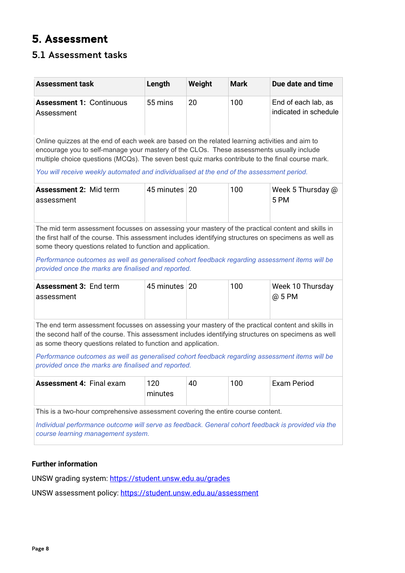# <span id="page-7-0"></span>5. Assessment

## <span id="page-7-1"></span>5.1 Assessment tasks

| <b>Assessment task</b>                                                                                                                                                                                                                                                    | Length                                                                                                                                                                                                                                                                                                                                                                                      | Weight | <b>Mark</b> | Due date and time                            |  |  |  |  |
|---------------------------------------------------------------------------------------------------------------------------------------------------------------------------------------------------------------------------------------------------------------------------|---------------------------------------------------------------------------------------------------------------------------------------------------------------------------------------------------------------------------------------------------------------------------------------------------------------------------------------------------------------------------------------------|--------|-------------|----------------------------------------------|--|--|--|--|
| <b>Assessment 1: Continuous</b><br>Assessment                                                                                                                                                                                                                             | 55 mins                                                                                                                                                                                                                                                                                                                                                                                     | 20     | 100         | End of each lab, as<br>indicated in schedule |  |  |  |  |
|                                                                                                                                                                                                                                                                           | Online quizzes at the end of each week are based on the related learning activities and aim to<br>encourage you to self-manage your mastery of the CLOs. These assessments usually include<br>multiple choice questions (MCQs). The seven best quiz marks contribute to the final course mark.<br>You will receive weekly automated and individualised at the end of the assessment period. |        |             |                                              |  |  |  |  |
| <b>Assessment 2: Mid term</b><br>assessment                                                                                                                                                                                                                               | 45 minutes   20                                                                                                                                                                                                                                                                                                                                                                             |        | 100         | Week 5 Thursday @<br>5 PM                    |  |  |  |  |
| The mid term assessment focusses on assessing your mastery of the practical content and skills in<br>the first half of the course. This assessment includes identifying structures on specimens as well as<br>some theory questions related to function and application.  |                                                                                                                                                                                                                                                                                                                                                                                             |        |             |                                              |  |  |  |  |
| Performance outcomes as well as generalised cohort feedback regarding assessment items will be<br>provided once the marks are finalised and reported.                                                                                                                     |                                                                                                                                                                                                                                                                                                                                                                                             |        |             |                                              |  |  |  |  |
| <b>Assessment 3: End term</b><br>assessment                                                                                                                                                                                                                               | 45 minutes   20                                                                                                                                                                                                                                                                                                                                                                             |        | 100         | Week 10 Thursday<br>@ 5 PM                   |  |  |  |  |
| The end term assessment focusses on assessing your mastery of the practical content and skills in<br>the second half of the course. This assessment includes identifying structures on specimens as well<br>as some theory questions related to function and application. |                                                                                                                                                                                                                                                                                                                                                                                             |        |             |                                              |  |  |  |  |
|                                                                                                                                                                                                                                                                           | Performance outcomes as well as generalised cohort feedback regarding assessment items will be<br>provided once the marks are finalised and reported.                                                                                                                                                                                                                                       |        |             |                                              |  |  |  |  |
| <b>Assessment 4: Final exam</b>                                                                                                                                                                                                                                           | 120<br>minutes                                                                                                                                                                                                                                                                                                                                                                              | 40     | 100         | <b>Exam Period</b>                           |  |  |  |  |
| This is a two-hour comprehensive assessment covering the entire course content.<br>Individual performance outcome will serve as feedback. General cohort feedback is provided via the<br>course learning management system.                                               |                                                                                                                                                                                                                                                                                                                                                                                             |        |             |                                              |  |  |  |  |

### **Further information**

UNSW grading system:<https://student.unsw.edu.au/grades>

UNSW assessment policy:<https://student.unsw.edu.au/assessment>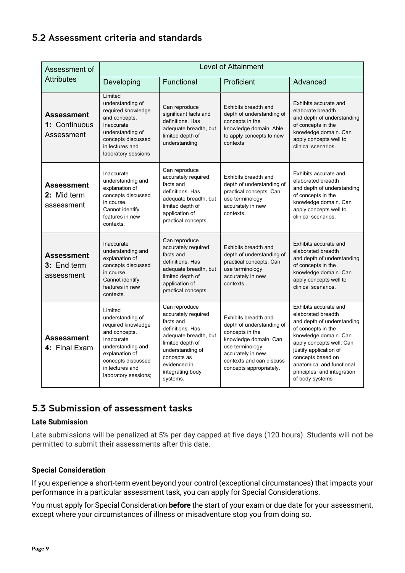## <span id="page-8-0"></span>5.2 Assessment criteria and standards

| Assessment of                                  | <b>Level of Attainment</b>                                                                                                                                                               |                                                                                                                                                                                                                                                                    |                                                                                                                                                                                              |                                                                                                                                                                                                                                                                                    |  |  |  |
|------------------------------------------------|------------------------------------------------------------------------------------------------------------------------------------------------------------------------------------------|--------------------------------------------------------------------------------------------------------------------------------------------------------------------------------------------------------------------------------------------------------------------|----------------------------------------------------------------------------------------------------------------------------------------------------------------------------------------------|------------------------------------------------------------------------------------------------------------------------------------------------------------------------------------------------------------------------------------------------------------------------------------|--|--|--|
| <b>Attributes</b>                              | Functional<br>Developing<br>Proficient                                                                                                                                                   |                                                                                                                                                                                                                                                                    | Advanced                                                                                                                                                                                     |                                                                                                                                                                                                                                                                                    |  |  |  |
| Assessment<br>1: Continuous<br>Assessment      | Limited<br>understanding of<br>required knowledge<br>and concepts.<br>Inaccurate<br>understanding of<br>concepts discussed<br>in lectures and<br>laboratory sessions                     | Can reproduce<br>Exhibits breadth and<br>significant facts and<br>depth of understanding of<br>definitions. Has<br>concepts in the<br>adequate breadth, but<br>knowledge domain. Able<br>limited depth of<br>to apply concepts to new<br>understanding<br>contexts |                                                                                                                                                                                              | Exhibits accurate and<br>elaborate breadth<br>and depth of understanding<br>of concepts in the<br>knowledge domain. Can<br>apply concepts well to<br>clinical scenarios.                                                                                                           |  |  |  |
| <b>Assessment</b><br>2: Mid term<br>assessment | Inaccurate<br>understanding and<br>explanation of<br>concepts discussed<br>in course.<br>Cannot identify<br>features in new<br>contexts.                                                 | Can reproduce<br>accurately required<br>facts and<br>definitions. Has<br>adequate breadth, but<br>limited depth of<br>application of<br>practical concepts.                                                                                                        | Exhibits breadth and<br>depth of understanding of<br>practical concepts. Can<br>use terminology<br>accurately in new<br>contexts.                                                            | Exhibits accurate and<br>elaborated breadth<br>and depth of understanding<br>of concepts in the<br>knowledge domain. Can<br>apply concepts well to<br>clinical scenarios.                                                                                                          |  |  |  |
| <b>Assessment</b><br>3: End term<br>assessment | Inaccurate<br>understanding and<br>explanation of<br>concepts discussed<br>in course.<br>Cannot identify<br>features in new<br>contexts.                                                 | Can reproduce<br>accurately required<br>facts and<br>definitions. Has<br>adequate breadth, but<br>limited depth of<br>application of<br>practical concepts.                                                                                                        | Exhibits breadth and<br>depth of understanding of<br>practical concepts. Can<br>use terminology<br>accurately in new<br>contexts.                                                            | Exhibits accurate and<br>elaborated breadth<br>and depth of understanding<br>of concepts in the<br>knowledge domain. Can<br>apply concepts well to<br>clinical scenarios.                                                                                                          |  |  |  |
| Assessment<br>4: Final Exam                    | Limited<br>understanding of<br>required knowledge<br>and concepts.<br>Inaccurate<br>understanding and<br>explanation of<br>concepts discussed<br>in lectures and<br>laboratory sessions; | Can reproduce<br>accurately required<br>facts and<br>definitions, Has<br>adequate breadth, but<br>limited depth of<br>understanding of<br>concepts as<br>evidenced in<br>integrating body<br>systems.                                                              | Exhibits breadth and<br>depth of understanding of<br>concepts in the<br>knowledge domain. Can<br>use terminology<br>accurately in new<br>contexts and can discuss<br>concepts appropriately. | Exhibits accurate and<br>elaborated breadth<br>and depth of understanding<br>of concepts in the<br>knowledge domain. Can<br>apply concepts well. Can<br>justify application of<br>concepts based on<br>anatomical and functional<br>principles, and integration<br>of body systems |  |  |  |

## <span id="page-8-1"></span>5.3 Submission of assessment tasks

#### **Late Submission**

Late submissions will be penalized at 5% per day capped at five days (120 hours). Students will not be permitted to submit their assessments after this date.

#### **Special Consideration**

If you experience a short-term event beyond your control (exceptional circumstances) that impacts your performance in a particular assessment task, you can apply for Special Considerations.

You must apply for Special Consideration **before** the start of your exam or due date for your assessment, except where your circumstances of illness or misadventure stop you from doing so.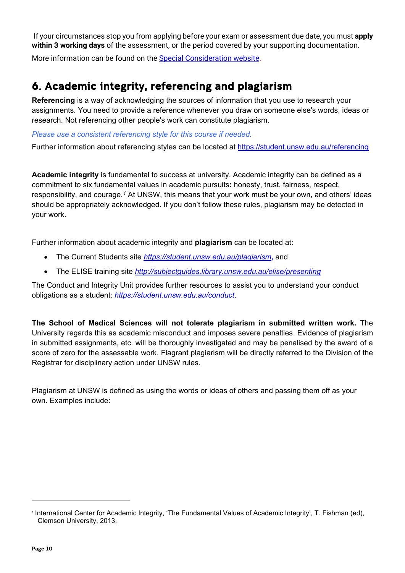If your circumstances stop you from applying before your exam or assessment due date, you must **apply within 3 working days** of the assessment, or the period covered by your supporting documentation.

More information can be found on the [Special Consideration website.](https://www.student.unsw.edu.au/special-consideration)

# <span id="page-9-0"></span>6. Academic integrity, referencing and plagiarism

**Referencing** is a way of acknowledging the sources of information that you use to research your assignments. You need to provide a reference whenever you draw on someone else's words, ideas or research. Not referencing other people's work can constitute plagiarism.

*Please use a consistent referencing style for this course if needed.*

Further information about referencing styles can be located at<https://student.unsw.edu.au/referencing>

**Academic integrity** is fundamental to success at university. Academic integrity can be defined as a commitment to six fundamental values in academic pursuits**:** honesty, trust, fairness, respect, responsibility, and courage.*[1](#page-9-1)* At UNSW, this means that your work must be your own, and others' ideas should be appropriately acknowledged. If you don't follow these rules, plagiarism may be detected in your work.

Further information about academic integrity and **plagiarism** can be located at:

- The Current Students site *<https://student.unsw.edu.au/plagiarism>***,** and
- The ELISE training site *<http://subjectguides.library.unsw.edu.au/elise/presenting>*

The Conduct and Integrity Unit provides further resources to assist you to understand your conduct obligations as a student: *<https://student.unsw.edu.au/conduct>*.

**The School of Medical Sciences will not tolerate plagiarism in submitted written work.** The University regards this as academic misconduct and imposes severe penalties. Evidence of plagiarism in submitted assignments, etc. will be thoroughly investigated and may be penalised by the award of a score of zero for the assessable work. Flagrant plagiarism will be directly referred to the Division of the Registrar for disciplinary action under UNSW rules.

Plagiarism at UNSW is defined as using the words or ideas of others and passing them off as your own. Examples include:

<span id="page-9-1"></span><sup>1</sup> International Center for Academic Integrity, 'The Fundamental Values of Academic Integrity', T. Fishman (ed), Clemson University, 2013.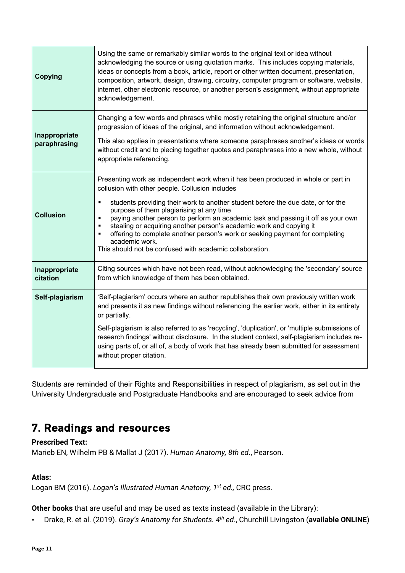| <b>Copying</b>                | Using the same or remarkably similar words to the original text or idea without<br>acknowledging the source or using quotation marks. This includes copying materials,<br>ideas or concepts from a book, article, report or other written document, presentation,<br>composition, artwork, design, drawing, circuitry, computer program or software, website,<br>internet, other electronic resource, or another person's assignment, without appropriate<br>acknowledgement.                                                                                                                                                                            |
|-------------------------------|----------------------------------------------------------------------------------------------------------------------------------------------------------------------------------------------------------------------------------------------------------------------------------------------------------------------------------------------------------------------------------------------------------------------------------------------------------------------------------------------------------------------------------------------------------------------------------------------------------------------------------------------------------|
| Inappropriate<br>paraphrasing | Changing a few words and phrases while mostly retaining the original structure and/or<br>progression of ideas of the original, and information without acknowledgement.<br>This also applies in presentations where someone paraphrases another's ideas or words<br>without credit and to piecing together quotes and paraphrases into a new whole, without<br>appropriate referencing.                                                                                                                                                                                                                                                                  |
| <b>Collusion</b>              | Presenting work as independent work when it has been produced in whole or part in<br>collusion with other people. Collusion includes<br>students providing their work to another student before the due date, or for the<br>٠<br>purpose of them plagiarising at any time<br>paying another person to perform an academic task and passing it off as your own<br>$\blacksquare$<br>stealing or acquiring another person's academic work and copying it<br>$\blacksquare$<br>offering to complete another person's work or seeking payment for completing<br>$\blacksquare$<br>academic work.<br>This should not be confused with academic collaboration. |
| Inappropriate<br>citation     | Citing sources which have not been read, without acknowledging the 'secondary' source<br>from which knowledge of them has been obtained.                                                                                                                                                                                                                                                                                                                                                                                                                                                                                                                 |
| Self-plagiarism               | 'Self-plagiarism' occurs where an author republishes their own previously written work<br>and presents it as new findings without referencing the earlier work, either in its entirety<br>or partially.<br>Self-plagiarism is also referred to as 'recycling', 'duplication', or 'multiple submissions of<br>research findings' without disclosure. In the student context, self-plagiarism includes re-<br>using parts of, or all of, a body of work that has already been submitted for assessment<br>without proper citation.                                                                                                                         |

Students are reminded of their Rights and Responsibilities in respect of plagiarism, as set out in the University Undergraduate and Postgraduate Handbooks and are encouraged to seek advice from

# <span id="page-10-0"></span>7. Readings and resources

#### **Prescribed Text:**

Marieb EN, Wilhelm PB & Mallat J (2017). *Human Anatomy, 8th ed*., Pearson.

## **Atlas:**

Logan BM (2016). *Logan's Illustrated Human Anatomy, 1st ed.,* CRC press.

**Other books** that are useful and may be used as texts instead (available in the Library):

• Drake, R. et al. (2019). *Gray's Anatomy for Students. 4th ed*., Churchill Livingston (**available ONLINE**)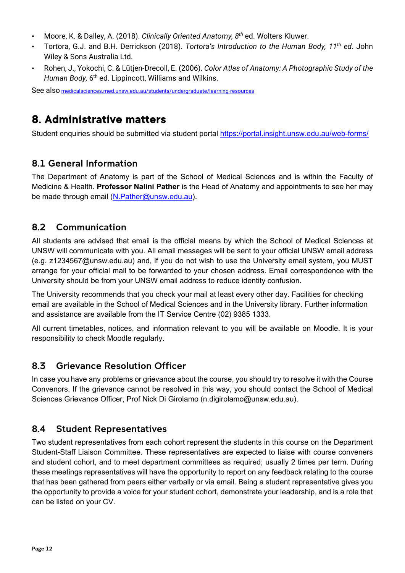- Moore, K. & Dalley, A. (2018). *Clinically Oriented Anatomy, 8th* ed. Wolters Kluwer.
- Tortora, G.J. and B.H. Derrickson (2018). *Tortora's Introduction to the Human Body, 11th ed*. John Wiley & Sons Australia Ltd.
- Rohen, J., Yokochi, C. & Lütjen-Drecoll, E. (2006). *Color Atlas of Anatomy: A Photographic Study of the Human Body,* 6<sup>th</sup> ed. Lippincott, Williams and Wilkins.

See als[o](http://medicalsciences.med.unsw.edu.au/students/undergraduate/learning-resources) [medicalsciences.med.unsw.edu.au/students/undergraduate/learning-resources](http://medicalsciences.med.unsw.edu.au/students/undergraduate/learning-resources)

# <span id="page-11-0"></span>8. Administrative matters

Student enquiries should be submitted via student portal<https://portal.insight.unsw.edu.au/web-forms/>

## <span id="page-11-1"></span>8.1 General Information

The Department of Anatomy is part of the School of Medical Sciences and is within the Faculty of Medicine & Health. **Professor Nalini Pather** is the Head of Anatomy and appointments to see her may be made through email [\(N.Pather@unsw.edu.au\)](mailto:N.Pather@unsw.edu.au).

## <span id="page-11-2"></span>8.2 Communication

All students are advised that email is the official means by which the School of Medical Sciences at UNSW will communicate with you. All email messages will be sent to your official UNSW email address (e.g. z1234567@unsw.edu.au) and, if you do not wish to use the University email system, you MUST arrange for your official mail to be forwarded to your chosen address. Email correspondence with the University should be from your UNSW email address to reduce identity confusion.

The University recommends that you check your mail at least every other day. Facilities for checking email are available in the School of Medical Sciences and in the University library. Further information and assistance are available from the [IT Service Centre](https://www.it.unsw.edu.au/students/index.html) (02) 9385 1333.

All current timetables, notices, and information relevant to you will be available on Moodle. It is your responsibility to check Moodle regularly.

## <span id="page-11-3"></span>8.3 Grievance Resolution Officer

In case you have any problems or grievance about the course, you should try to resolve it with the Course Convenors. If the grievance cannot be resolved in this way, you should contact the School of Medical Sciences Grievance Officer, Prof Nick Di Girolamo [\(n.digirolamo@unsw.edu.au\)](mailto:n.digirolamo@unsw.edu.au).

## <span id="page-11-4"></span>8.4 Student Representatives

Two student representatives from each cohort represent the students in this course on the Department Student-Staff Liaison Committee. These representatives are expected to liaise with course conveners and student cohort, and to meet department committees as required; usually 2 times per term. During these meetings representatives will have the opportunity to report on any feedback relating to the course that has been gathered from peers either verbally or via email. Being a student representative gives you the opportunity to provide a voice for your student cohort, demonstrate your leadership, and is a role that can be listed on your CV.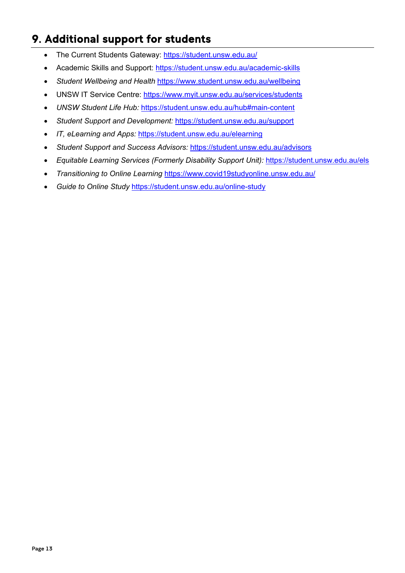# <span id="page-12-0"></span>9. Additional support for students

- The Current Students Gateway:<https://student.unsw.edu.au/>
- Academic Skills and Support:<https://student.unsw.edu.au/academic-skills>
- *Student Wellbeing and Health* <https://www.student.unsw.edu.au/wellbeing>
- UNSW IT Service Centre:<https://www.myit.unsw.edu.au/services/students>
- *UNSW Student Life Hub:* <https://student.unsw.edu.au/hub#main-content>
- *Student Support and Development:* <https://student.unsw.edu.au/support>
- *IT, eLearning and Apps:* <https://student.unsw.edu.au/elearning>
- *Student Support and Success Advisors:* <https://student.unsw.edu.au/advisors>
- *Equitable Learning Services (Formerly Disability Support Unit):* <https://student.unsw.edu.au/els>
- *Transitioning to Online Learning* <https://www.covid19studyonline.unsw.edu.au/>
- *Guide to Online Study* <https://student.unsw.edu.au/online-study>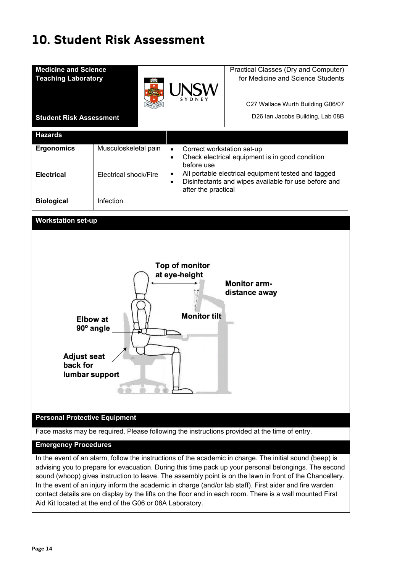# <span id="page-13-0"></span>10. Student Risk Assessment

| <b>Medicine and Science</b><br><b>Teaching Laboratory</b> |                       | <b>UNSW</b>                                                                                                                                          | Practical Classes (Dry and Computer)<br>for Medicine and Science Students |  |
|-----------------------------------------------------------|-----------------------|------------------------------------------------------------------------------------------------------------------------------------------------------|---------------------------------------------------------------------------|--|
|                                                           |                       |                                                                                                                                                      | C27 Wallace Wurth Building G06/07                                         |  |
| <b>Student Risk Assessment</b>                            |                       |                                                                                                                                                      | D26 Ian Jacobs Building, Lab 08B                                          |  |
| <b>Hazards</b>                                            |                       |                                                                                                                                                      |                                                                           |  |
| <b>Ergonomics</b>                                         | Musculoskeletal pain  | Correct workstation set-up<br>$\bullet$<br>$\bullet$<br>before use                                                                                   | Check electrical equipment is in good condition                           |  |
| <b>Electrical</b>                                         | Electrical shock/Fire | All portable electrical equipment tested and tagged<br>٠<br>Disinfectants and wipes available for use before and<br>$\bullet$<br>after the practical |                                                                           |  |
| <b>Biological</b>                                         | Infection             |                                                                                                                                                      |                                                                           |  |
| <b>Workstation set-up</b>                                 |                       |                                                                                                                                                      |                                                                           |  |



Aid Kit located at the end of the G06 or 08A Laboratory.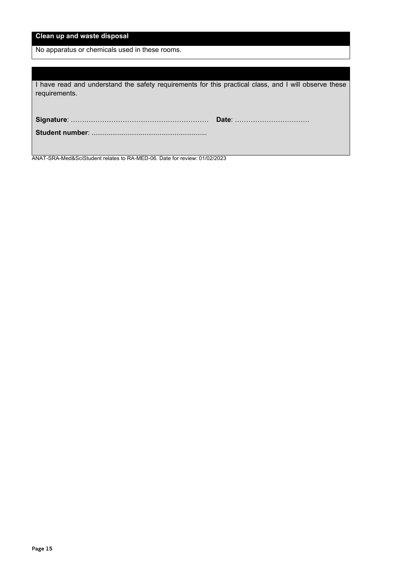No apparatus or chemicals used in these rooms.

| I have read and understand the safety requirements for this practical class, and I will observe these<br>requirements. |  |
|------------------------------------------------------------------------------------------------------------------------|--|
|                                                                                                                        |  |
|                                                                                                                        |  |

ANAT-SRA-Med&SciStudent relates to RA-MED-06. Date for review: 01/02/2023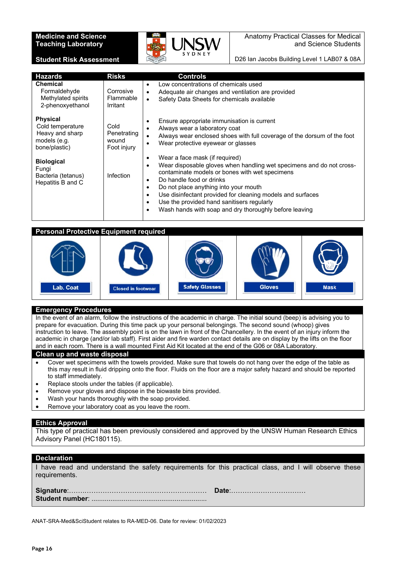#### **Medicine and Science Teaching Laboratory**

**Student Risk Assessment**



Anatomy Practical Classes for Medical and Science Students

D26 Ian Jacobs Building Level 1 LAB07 & 08A

| <b>Hazards</b>                                                                          | <b>Risks</b>                                | <b>Controls</b>                                                                                                                                                                                                                                                                                                                                                                                                                                        |
|-----------------------------------------------------------------------------------------|---------------------------------------------|--------------------------------------------------------------------------------------------------------------------------------------------------------------------------------------------------------------------------------------------------------------------------------------------------------------------------------------------------------------------------------------------------------------------------------------------------------|
| <b>Chemical</b><br>Formaldehyde<br>Methylated spirits<br>2-phenoxyethanol               | Corrosive<br>Flammable<br>Irritant          | Low concentrations of chemicals used<br>٠<br>Adequate air changes and ventilation are provided<br>$\bullet$<br>Safety Data Sheets for chemicals available<br>$\bullet$                                                                                                                                                                                                                                                                                 |
| <b>Physical</b><br>Cold temperature<br>Heavy and sharp<br>models (e.g.<br>bone/plastic) | Cold<br>Penetrating<br>wound<br>Foot injury | Ensure appropriate immunisation is current<br>٠<br>Always wear a laboratory coat<br>٠<br>Always wear enclosed shoes with full coverage of the dorsum of the foot<br>$\bullet$<br>Wear protective eyewear or glasses<br>$\bullet$                                                                                                                                                                                                                       |
| <b>Biological</b><br>Fungi<br>Bacteria (tetanus)<br>Hepatitis B and C                   | Infection                                   | Wear a face mask (if required)<br>٠<br>Wear disposable gloves when handling wet specimens and do not cross-<br>٠<br>contaminate models or bones with wet specimens<br>Do handle food or drinks<br>٠<br>Do not place anything into your mouth<br>٠<br>Use disinfectant provided for cleaning models and surfaces<br>$\bullet$<br>Use the provided hand sanitisers regularly<br>$\bullet$<br>Wash hands with soap and dry thoroughly before leaving<br>٠ |

#### **Personal Protective Equipment required**



#### **Emergency Procedures**

In the event of an alarm, follow the instructions of the academic in charge. The initial sound (beep) is advising you to prepare for evacuation. During this time pack up your personal belongings. The second sound (whoop) gives instruction to leave. The assembly point is on the lawn in front of the Chancellery. In the event of an injury inform the academic in charge (and/or lab staff). First aider and fire warden contact details are on display by the lifts on the floor and in each room. There is a wall mounted First Aid Kit located at the end of the G06 or 08A Laboratory.

#### **Clean up and waste disposal**

- Cover wet specimens with the towels provided. Make sure that towels do not hang over the edge of the table as this may result in fluid dripping onto the floor. Fluids on the floor are a major safety hazard and should be reported to staff immediately.
- Replace stools under the tables (if applicable).
- Remove your gloves and dispose in the biowaste bins provided.
- Wash your hands thoroughly with the soap provided.
- Remove your laboratory coat as you leave the room.

#### **Ethics Approval**

This type of practical has been previously considered and approved by the UNSW Human Research Ethics Advisory Panel (HC180115).

#### **Declaration**

| I have read and understand the safety requirements for this practical class, and I will observe these |  |  |  |  |  |
|-------------------------------------------------------------------------------------------------------|--|--|--|--|--|
| requirements.                                                                                         |  |  |  |  |  |
|                                                                                                       |  |  |  |  |  |

**Signature**:…….……………………………………………… **Date**:…………………………… **Student number**: .............................................................

ANAT-SRA-Med&SciStudent relates to RA-MED-06. Date for review: 01/02/2023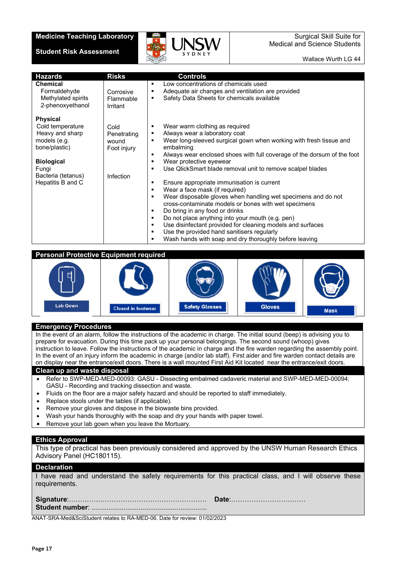#### **Medicine Teaching Laboratory**

#### **Student Risk Assessment**



Surgical Skill Suite for Medical and Science Students

Wallace Wurth LG 44

| <b>Hazards</b><br><b>Chemical</b><br>Formaldehyde<br>Methylated spirits<br>2-phenoxyethanol                                                                      | <b>Risks</b><br>Corrosive<br>Flammable<br>Irritant       | <b>Controls</b><br>Low concentrations of chemicals used<br>٠<br>Adequate air changes and ventilation are provided<br>٠<br>Safety Data Sheets for chemicals available<br>٠                                                                                                                                                                                                                                                                                                                                                                                                                                                                                                                                                                                                                                                                                         |
|------------------------------------------------------------------------------------------------------------------------------------------------------------------|----------------------------------------------------------|-------------------------------------------------------------------------------------------------------------------------------------------------------------------------------------------------------------------------------------------------------------------------------------------------------------------------------------------------------------------------------------------------------------------------------------------------------------------------------------------------------------------------------------------------------------------------------------------------------------------------------------------------------------------------------------------------------------------------------------------------------------------------------------------------------------------------------------------------------------------|
| <b>Physical</b><br>Cold temperature<br>Heavy and sharp<br>models (e.g.<br>bone/plastic)<br><b>Biological</b><br>Fungi<br>Bacteria (tetanus)<br>Hepatitis B and C | Cold<br>Penetrating<br>wound<br>Foot injury<br>Infection | Wear warm clothing as required<br>٠<br>Always wear a laboratory coat<br>٠<br>Wear long-sleeved surgical gown when working with fresh tissue and<br>٠<br>embalming<br>Always wear enclosed shoes with full coverage of the dorsum of the foot<br>٠<br>Wear protective eyewear<br>٠<br>Use QlickSmart blade removal unit to remove scalpel blades<br>٠<br>Ensure appropriate immunisation is current<br>٠<br>Wear a face mask (if required)<br>٠<br>Wear disposable gloves when handling wet specimens and do not<br>٠<br>cross-contaminate models or bones with wet specimens<br>Do bring in any food or drinks<br>٠<br>Do not place anything into your mouth (e.g. pen)<br>٠<br>Use disinfectant provided for cleaning models and surfaces<br>٠<br>Use the provided hand sanitisers regularly<br>٠<br>Wash hands with soap and dry thoroughly before leaving<br>٠ |

#### **Personal Protective Equipment required**



#### **Emergency Procedures**

In the event of an alarm, follow the instructions of the academic in charge. The initial sound (beep) is advising you to prepare for evacuation. During this time pack up your personal belongings. The second sound (whoop) gives instruction to leave. Follow the instructions of the academic in charge and the fire warden regarding the assembly point. In the event of an injury inform the academic in charge (and/or lab staff). First aider and fire warden contact details are on display near the entrance/exit doors. There is a wall mounted First Aid Kit located near the entrance/exit doors.

#### **Clean up and waste disposal**

- Refer to SWP-MED-MED-00093: GASU Dissecting embalmed cadaveric material and SWP-MED-MED-00094: GASU - Recording and tracking dissection and waste.
- Fluids on the floor are a major safety hazard and should be reported to staff immediately.
- Replace stools under the tables (if applicable).
- Remove your gloves and dispose in the biowaste bins provided.
- Wash your hands thoroughly with the soap and dry your hands with paper towel.
- Remove your lab gown when you leave the Mortuary.

#### **Ethics Approval**

This type of practical has been previously considered and approved by the UNSW Human Research Ethics Advisory Panel (HC180115).

#### **Declaration**

I have read and understand the safety requirements for this practical class, and I will observe these requirements.

ANAT-SRA-Med&SciStudent relates to RA-MED-06. Date for review: 01/02/2023